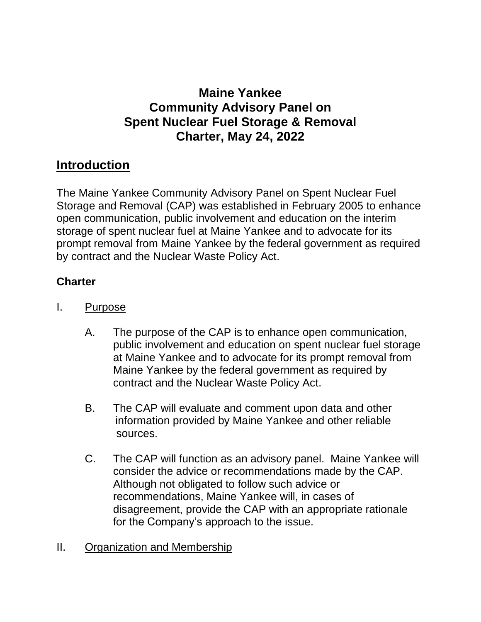# **Maine Yankee Community Advisory Panel on Spent Nuclear Fuel Storage & Removal Charter, May 24, 2022**

# **Introduction**

The Maine Yankee Community Advisory Panel on Spent Nuclear Fuel Storage and Removal (CAP) was established in February 2005 to enhance open communication, public involvement and education on the interim storage of spent nuclear fuel at Maine Yankee and to advocate for its prompt removal from Maine Yankee by the federal government as required by contract and the Nuclear Waste Policy Act.

## **Charter**

- I. Purpose
	- A. The purpose of the CAP is to enhance open communication, public involvement and education on spent nuclear fuel storage at Maine Yankee and to advocate for its prompt removal from Maine Yankee by the federal government as required by contract and the Nuclear Waste Policy Act.
	- B. The CAP will evaluate and comment upon data and other information provided by Maine Yankee and other reliable sources.
	- C. The CAP will function as an advisory panel. Maine Yankee will consider the advice or recommendations made by the CAP. Although not obligated to follow such advice or recommendations, Maine Yankee will, in cases of disagreement, provide the CAP with an appropriate rationale for the Company's approach to the issue.
- II. Organization and Membership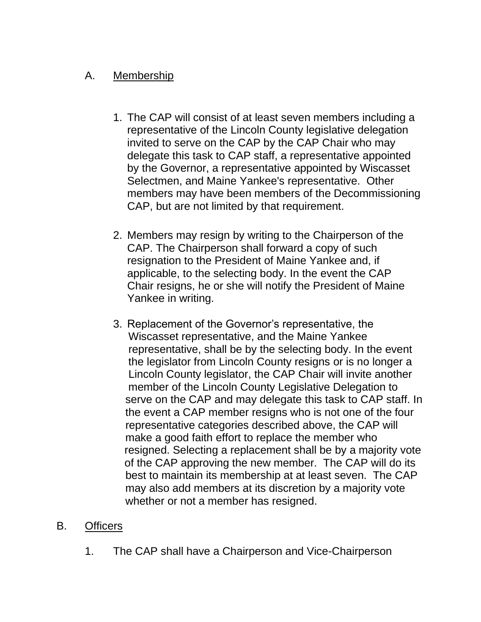### A. Membership

- 1. The CAP will consist of at least seven members including a representative of the Lincoln County legislative delegation invited to serve on the CAP by the CAP Chair who may delegate this task to CAP staff, a representative appointed by the Governor, a representative appointed by Wiscasset Selectmen, and Maine Yankee's representative. Other members may have been members of the Decommissioning CAP, but are not limited by that requirement.
- 2. Members may resign by writing to the Chairperson of the CAP. The Chairperson shall forward a copy of such resignation to the President of Maine Yankee and, if applicable, to the selecting body. In the event the CAP Chair resigns, he or she will notify the President of Maine Yankee in writing.
- 3. Replacement of the Governor's representative, the Wiscasset representative, and the Maine Yankee representative, shall be by the selecting body. In the event the legislator from Lincoln County resigns or is no longer a Lincoln County legislator, the CAP Chair will invite another member of the Lincoln County Legislative Delegation to serve on the CAP and may delegate this task to CAP staff. In the event a CAP member resigns who is not one of the four representative categories described above, the CAP will make a good faith effort to replace the member who resigned. Selecting a replacement shall be by a majority vote of the CAP approving the new member. The CAP will do its best to maintain its membership at at least seven. The CAP may also add members at its discretion by a majority vote whether or not a member has resigned.

### B. Officers

1. The CAP shall have a Chairperson and Vice-Chairperson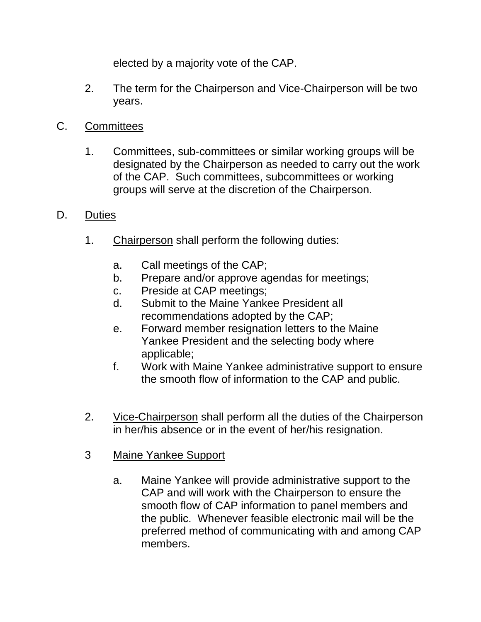elected by a majority vote of the CAP.

- 2. The term for the Chairperson and Vice-Chairperson will be two years.
- C. Committees
	- 1. Committees, sub-committees or similar working groups will be designated by the Chairperson as needed to carry out the work of the CAP. Such committees, subcommittees or working groups will serve at the discretion of the Chairperson.
- D. Duties
	- 1. Chairperson shall perform the following duties:
		- a. Call meetings of the CAP;
		- b. Prepare and/or approve agendas for meetings;
		- c. Preside at CAP meetings;
		- d. Submit to the Maine Yankee President all recommendations adopted by the CAP;
		- e. Forward member resignation letters to the Maine Yankee President and the selecting body where applicable;
		- f. Work with Maine Yankee administrative support to ensure the smooth flow of information to the CAP and public.
	- 2. Vice-Chairperson shall perform all the duties of the Chairperson in her/his absence or in the event of her/his resignation.
	- 3 Maine Yankee Support
		- a. Maine Yankee will provide administrative support to the CAP and will work with the Chairperson to ensure the smooth flow of CAP information to panel members and the public. Whenever feasible electronic mail will be the preferred method of communicating with and among CAP members.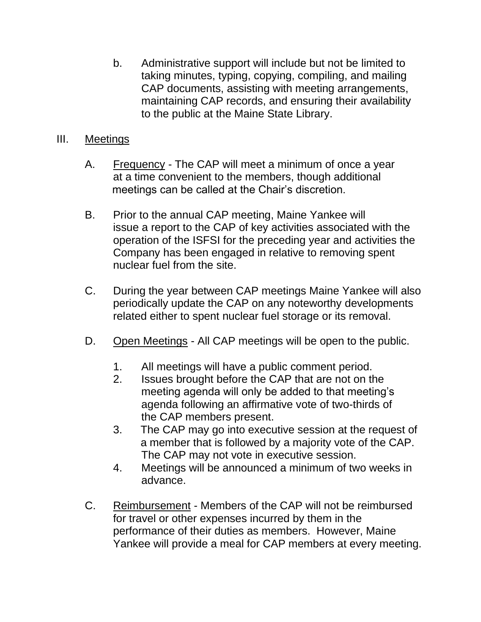b. Administrative support will include but not be limited to taking minutes, typing, copying, compiling, and mailing CAP documents, assisting with meeting arrangements, maintaining CAP records, and ensuring their availability to the public at the Maine State Library.

### III. Meetings

- A. Frequency The CAP will meet a minimum of once a year at a time convenient to the members, though additional meetings can be called at the Chair's discretion.
- B. Prior to the annual CAP meeting, Maine Yankee will issue a report to the CAP of key activities associated with the operation of the ISFSI for the preceding year and activities the Company has been engaged in relative to removing spent nuclear fuel from the site.
- C. During the year between CAP meetings Maine Yankee will also periodically update the CAP on any noteworthy developments related either to spent nuclear fuel storage or its removal.
- D. Open Meetings All CAP meetings will be open to the public.
	- 1. All meetings will have a public comment period.
	- 2. Issues brought before the CAP that are not on the meeting agenda will only be added to that meeting's agenda following an affirmative vote of two-thirds of the CAP members present.
	- 3. The CAP may go into executive session at the request of a member that is followed by a majority vote of the CAP. The CAP may not vote in executive session.
	- 4. Meetings will be announced a minimum of two weeks in advance.
- C. Reimbursement Members of the CAP will not be reimbursed for travel or other expenses incurred by them in the performance of their duties as members. However, Maine Yankee will provide a meal for CAP members at every meeting.